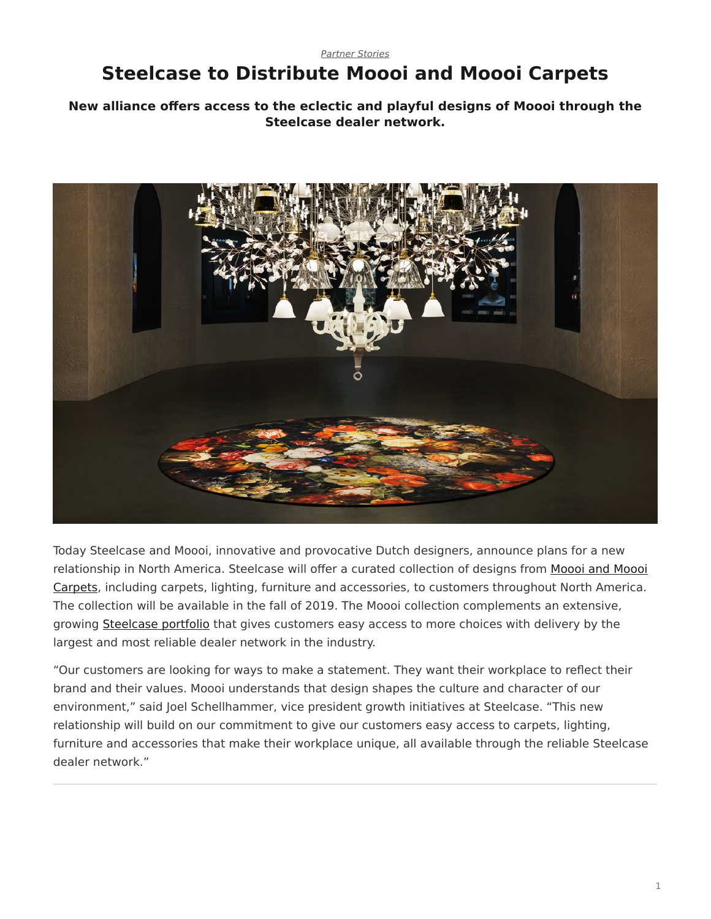## *[Partner Stories](https://www.steelcase.com/research/topics/partner-stories/)*

## <span id="page-0-0"></span>**Steelcase to Distribute Moooi and Moooi Carpets**

## **New alliance offers access to the eclectic and playful designs of Moooi through the Steelcase dealer network.**



Today Steelcase and Moooi, innovative and provocative Dutch designers, announce plans for a new relationship in North America. Steelcase will offer a curated collection of designs from [Moooi and Moooi](https://www.steelcase.com/brands/partners/moooi/) [Carpets](https://www.steelcase.com/brands/partners/moooi/), including carpets, lighting, furniture and accessories, to customers throughout North America. The collection will be available in the fall of 2019. The Moooi collection complements an extensive, growing [Steelcase portfolio](https://www.steelcase.com/partners) that gives customers easy access to more choices with delivery by the largest and most reliable dealer network in the industry.

"Our customers are looking for ways to make a statement. They want their workplace to reflect their brand and their values. Moooi understands that design shapes the culture and character of our environment," said Joel Schellhammer, vice president growth initiatives at Steelcase. "This new relationship will build on our commitment to give our customers easy access to carpets, lighting, furniture and accessories that make their workplace unique, all available through the reliable Steelcase dealer network."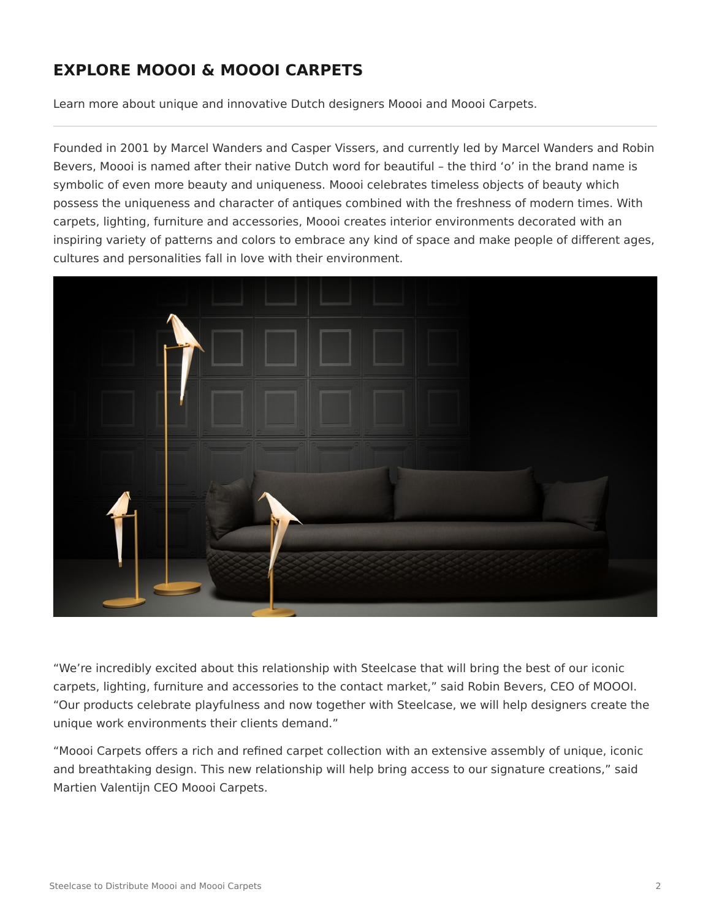## **EXPLORE MOOOI & MOOOI CARPETS**

Learn more about unique and innovative Dutch designers Moooi and Moooi Carpets.

Founded in 2001 by Marcel Wanders and Casper Vissers, and currently led by Marcel Wanders and Robin Bevers, Moooi is named after their native Dutch word for beautiful – the third 'o' in the brand name is symbolic of even more beauty and uniqueness. Moooi celebrates timeless objects of beauty which possess the uniqueness and character of antiques combined with the freshness of modern times. With carpets, lighting, furniture and accessories, Moooi creates interior environments decorated with an inspiring variety of patterns and colors to embrace any kind of space and make people of different ages, cultures and personalities fall in love with their environment.



"We're incredibly excited about this relationship with Steelcase that will bring the best of our iconic carpets, lighting, furniture and accessories to the contact market," said Robin Bevers, CEO of MOOOI. "Our products celebrate playfulness and now together with Steelcase, we will help designers create the unique work environments their clients demand."

"Moooi Carpets offers a rich and refined carpet collection with an extensive assembly of unique, iconic and breathtaking design. This new relationship will help bring access to our signature creations," said Martien Valentijn CEO Moooi Carpets.